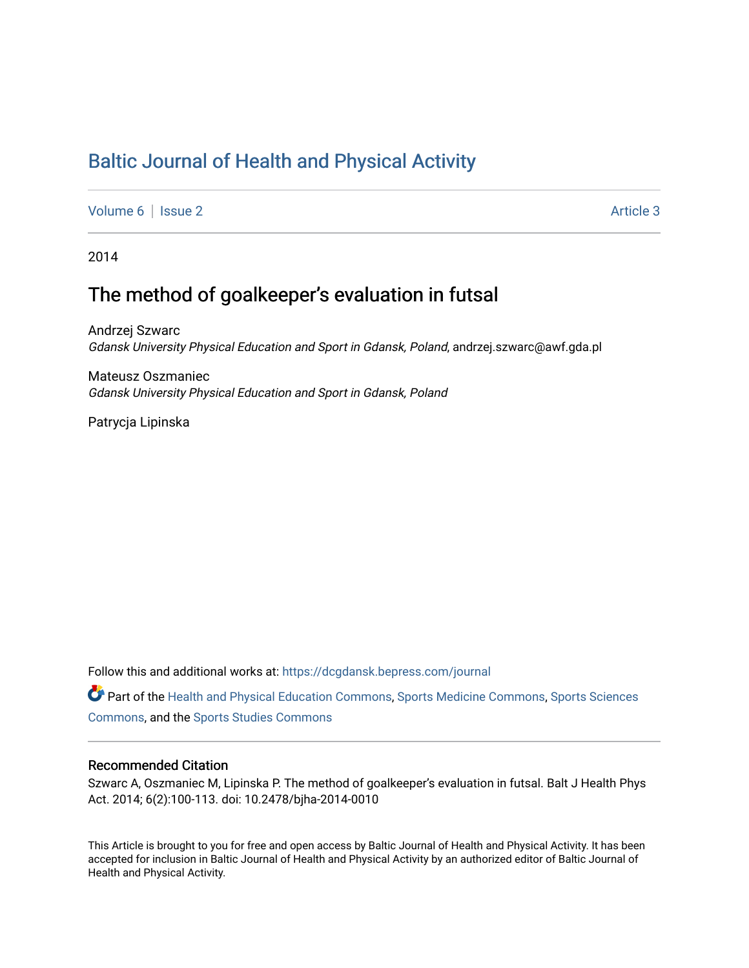# [Baltic Journal of Health and Physical Activity](https://dcgdansk.bepress.com/journal)

[Volume 6](https://dcgdansk.bepress.com/journal/vol6) | [Issue 2](https://dcgdansk.bepress.com/journal/vol6/iss2) Article 3

2014

# The method of goalkeeper's evaluation in futsal

Andrzej Szwarc Gdansk University Physical Education and Sport in Gdansk, Poland, andrzej.szwarc@awf.gda.pl

Mateusz Oszmaniec Gdansk University Physical Education and Sport in Gdansk, Poland

Patrycja Lipinska

Follow this and additional works at: [https://dcgdansk.bepress.com/journal](https://dcgdansk.bepress.com/journal?utm_source=dcgdansk.bepress.com%2Fjournal%2Fvol6%2Fiss2%2F3&utm_medium=PDF&utm_campaign=PDFCoverPages)

Part of the [Health and Physical Education Commons](http://network.bepress.com/hgg/discipline/1327?utm_source=dcgdansk.bepress.com%2Fjournal%2Fvol6%2Fiss2%2F3&utm_medium=PDF&utm_campaign=PDFCoverPages), [Sports Medicine Commons,](http://network.bepress.com/hgg/discipline/1331?utm_source=dcgdansk.bepress.com%2Fjournal%2Fvol6%2Fiss2%2F3&utm_medium=PDF&utm_campaign=PDFCoverPages) [Sports Sciences](http://network.bepress.com/hgg/discipline/759?utm_source=dcgdansk.bepress.com%2Fjournal%2Fvol6%2Fiss2%2F3&utm_medium=PDF&utm_campaign=PDFCoverPages) [Commons](http://network.bepress.com/hgg/discipline/759?utm_source=dcgdansk.bepress.com%2Fjournal%2Fvol6%2Fiss2%2F3&utm_medium=PDF&utm_campaign=PDFCoverPages), and the [Sports Studies Commons](http://network.bepress.com/hgg/discipline/1198?utm_source=dcgdansk.bepress.com%2Fjournal%2Fvol6%2Fiss2%2F3&utm_medium=PDF&utm_campaign=PDFCoverPages) 

#### Recommended Citation

Szwarc A, Oszmaniec M, Lipinska P. The method of goalkeeper's evaluation in futsal. Balt J Health Phys Act. 2014; 6(2):100-113. doi: 10.2478/bjha-2014-0010

This Article is brought to you for free and open access by Baltic Journal of Health and Physical Activity. It has been accepted for inclusion in Baltic Journal of Health and Physical Activity by an authorized editor of Baltic Journal of Health and Physical Activity.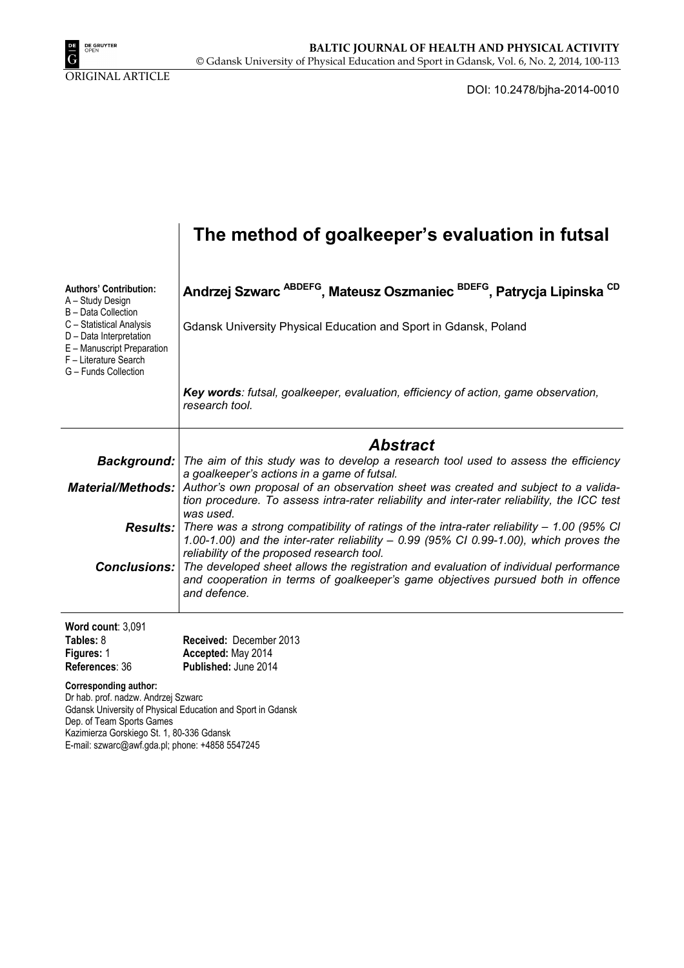

DOI: 10.2478/bjha-2014-0010

|                                                                                                                                                                                                                | The method of goalkeeper's evaluation in futsal                                                                                                                                                                                                      |
|----------------------------------------------------------------------------------------------------------------------------------------------------------------------------------------------------------------|------------------------------------------------------------------------------------------------------------------------------------------------------------------------------------------------------------------------------------------------------|
| <b>Authors' Contribution:</b><br>A - Study Design<br>B - Data Collection<br>C - Statistical Analysis<br>D - Data Interpretation<br>E - Manuscript Preparation<br>F - Literature Search<br>G - Funds Collection | Andrzej Szwarc <sup>ABDEFG</sup> , Mateusz Oszmaniec <sup>BDEFG</sup> , Patrycja Lipinska <sup>CD</sup><br>Gdansk University Physical Education and Sport in Gdansk, Poland                                                                          |
|                                                                                                                                                                                                                | Key words: futsal, goalkeeper, evaluation, efficiency of action, game observation,<br>research tool.                                                                                                                                                 |
|                                                                                                                                                                                                                | Abstract                                                                                                                                                                                                                                             |
| <b>Background:</b>                                                                                                                                                                                             | The aim of this study was to develop a research tool used to assess the efficiency                                                                                                                                                                   |
| <b>Material/Methods:</b>                                                                                                                                                                                       | a goalkeeper's actions in a game of futsal.<br>Author's own proposal of an observation sheet was created and subject to a valida-<br>tion procedure. To assess intra-rater reliability and inter-rater reliability, the ICC test<br>was used.        |
|                                                                                                                                                                                                                | <b>Results:</b> There was a strong compatibility of ratings of the intra-rater reliability – 1.00 (95% CI)<br>1.00-1.00) and the inter-rater reliability $-$ 0.99 (95% CI 0.99-1.00), which proves the<br>reliability of the proposed research tool. |
| <b>Conclusions:</b>                                                                                                                                                                                            | The developed sheet allows the registration and evaluation of individual performance<br>and cooperation in terms of goalkeeper's game objectives pursued both in offence<br>and defence.                                                             |
| Word count: 3,091                                                                                                                                                                                              |                                                                                                                                                                                                                                                      |
| Tables: 8<br>Figures: 1<br>References: 36                                                                                                                                                                      | Received: December 2013<br>Accepted: May 2014<br>Published: June 2014                                                                                                                                                                                |
| <b>Corresponding author:</b><br>Dr hab. prof. nadzw. Andrzej Szwarc<br>Dep. of Team Sports Games<br>Kazimierza Gorskiego St. 1, 80-336 Gdansk                                                                  | Gdansk University of Physical Education and Sport in Gdansk                                                                                                                                                                                          |

E-mail: szwarc@awf.gda.pl; phone: +4858 5547245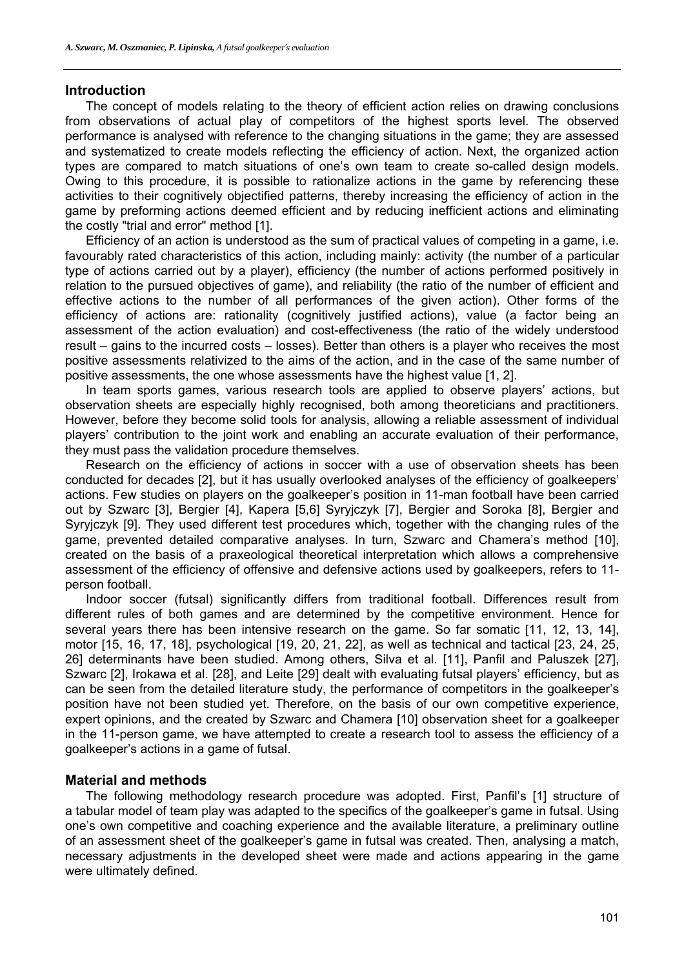#### **Introduction**

The concept of models relating to the theory of efficient action relies on drawing conclusions from observations of actual play of competitors of the highest sports level. The observed performance is analysed with reference to the changing situations in the game; they are assessed and systematized to create models reflecting the efficiency of action. Next, the organized action types are compared to match situations of one's own team to create so-called design models. Owing to this procedure, it is possible to rationalize actions in the game by referencing these activities to their cognitively objectified patterns, thereby increasing the efficiency of action in the game by preforming actions deemed efficient and by reducing inefficient actions and eliminating the costly "trial and error" method [1].

Efficiency of an action is understood as the sum of practical values of competing in a game, i.e. favourably rated characteristics of this action, including mainly: activity (the number of a particular type of actions carried out by a player), efficiency (the number of actions performed positively in relation to the pursued objectives of game), and reliability (the ratio of the number of efficient and effective actions to the number of all performances of the given action). Other forms of the efficiency of actions are: rationality (cognitively justified actions), value (a factor being an assessment of the action evaluation) and cost-effectiveness (the ratio of the widely understood result – gains to the incurred costs – losses). Better than others is a player who receives the most positive assessments relativized to the aims of the action, and in the case of the same number of positive assessments, the one whose assessments have the highest value [1, 2].

In team sports games, various research tools are applied to observe players' actions, but observation sheets are especially highly recognised, both among theoreticians and practitioners. However, before they become solid tools for analysis, allowing a reliable assessment of individual players' contribution to the joint work and enabling an accurate evaluation of their performance, they must pass the validation procedure themselves.

Research on the efficiency of actions in soccer with a use of observation sheets has been conducted for decades [2], but it has usually overlooked analyses of the efficiency of goalkeepers' actions. Few studies on players on the goalkeeper's position in 11-man football have been carried out by Szwarc [3], Bergier [4], Kapera [5,6] Syryjczyk [7], Bergier and Soroka [8], Bergier and Syryjczyk [9]. They used different test procedures which, together with the changing rules of the game, prevented detailed comparative analyses. In turn, Szwarc and Chamera's method [10], created on the basis of a praxeological theoretical interpretation which allows a comprehensive assessment of the efficiency of offensive and defensive actions used by goalkeepers, refers to 11 person football.

Indoor soccer (futsal) significantly differs from traditional football. Differences result from different rules of both games and are determined by the competitive environment. Hence for several years there has been intensive research on the game. So far somatic [11, 12, 13, 14], motor [15, 16, 17, 18], psychological [19, 20, 21, 22], as well as technical and tactical [23, 24, 25, 26] determinants have been studied. Among others, Silva et al. [11], Panfil and Paluszek [27], Szwarc [2], Irokawa et al. [28], and Leite [29] dealt with evaluating futsal players' efficiency, but as can be seen from the detailed literature study, the performance of competitors in the goalkeeper's position have not been studied yet. Therefore, on the basis of our own competitive experience, expert opinions, and the created by Szwarc and Chamera [10] observation sheet for a goalkeeper in the 11-person game, we have attempted to create a research tool to assess the efficiency of a goalkeeper's actions in a game of futsal.

#### **Material and methods**

The following methodology research procedure was adopted. First, Panfil's [1] structure of a tabular model of team play was adapted to the specifics of the goalkeeper's game in futsal. Using one's own competitive and coaching experience and the available literature, a preliminary outline of an assessment sheet of the goalkeeper's game in futsal was created. Then, analysing a match, necessary adjustments in the developed sheet were made and actions appearing in the game were ultimately defined.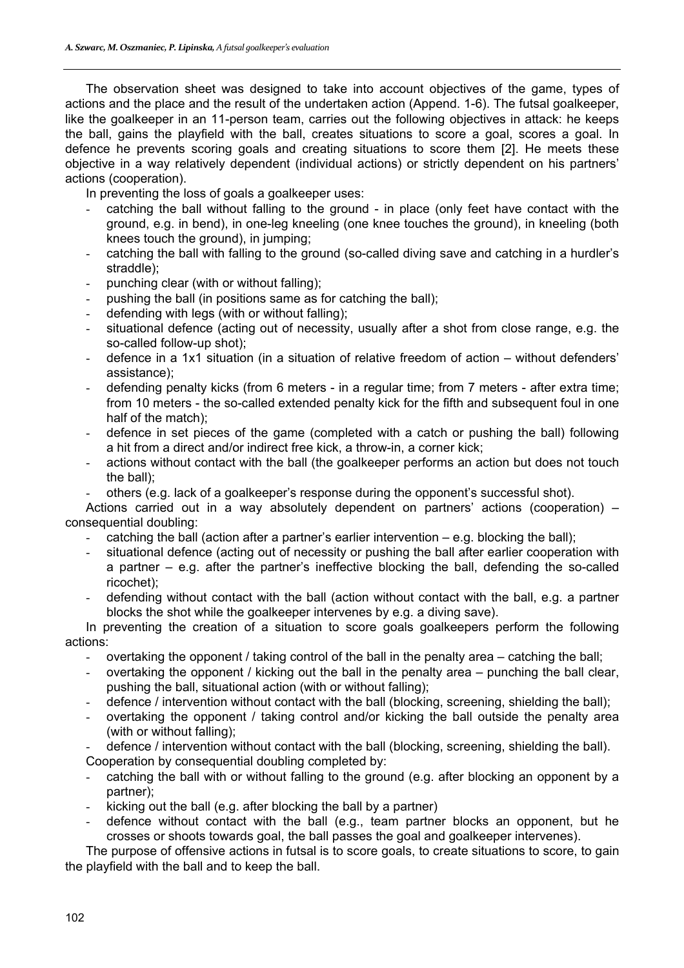The observation sheet was designed to take into account objectives of the game, types of actions and the place and the result of the undertaken action (Append. 1-6). The futsal goalkeeper, like the goalkeeper in an 11-person team, carries out the following objectives in attack: he keeps the ball, gains the playfield with the ball, creates situations to score a goal, scores a goal. In defence he prevents scoring goals and creating situations to score them [2]. He meets these objective in a way relatively dependent (individual actions) or strictly dependent on his partners' actions (cooperation).

In preventing the loss of goals a goalkeeper uses:

- catching the ball without falling to the ground in place (only feet have contact with the ground, e.g. in bend), in one-leg kneeling (one knee touches the ground), in kneeling (both knees touch the ground), in jumping;
- catching the ball with falling to the ground (so-called diving save and catching in a hurdler's straddle);
- punching clear (with or without falling);
- pushing the ball (in positions same as for catching the ball);
- defending with legs (with or without falling);
- situational defence (acting out of necessity, usually after a shot from close range, e.g. the so-called follow-up shot);
- defence in a 1x1 situation (in a situation of relative freedom of action without defenders' assistance);
- defending penalty kicks (from 6 meters in a regular time; from 7 meters after extra time; from 10 meters - the so-called extended penalty kick for the fifth and subsequent foul in one half of the match);
- defence in set pieces of the game (completed with a catch or pushing the ball) following a hit from a direct and/or indirect free kick, a throw-in, a corner kick;
- actions without contact with the ball (the goalkeeper performs an action but does not touch the ball);
- others (e.g. lack of a goalkeeper's response during the opponent's successful shot).

Actions carried out in a way absolutely dependent on partners' actions (cooperation) – consequential doubling:

- catching the ball (action after a partner's earlier intervention e.g. blocking the ball);
- situational defence (acting out of necessity or pushing the ball after earlier cooperation with a partner – e.g. after the partner's ineffective blocking the ball, defending the so-called ricochet);
- defending without contact with the ball (action without contact with the ball, e.g. a partner blocks the shot while the goalkeeper intervenes by e.g. a diving save).

In preventing the creation of a situation to score goals goalkeepers perform the following actions:

- overtaking the opponent / taking control of the ball in the penalty area catching the ball;
- overtaking the opponent / kicking out the ball in the penalty area punching the ball clear, pushing the ball, situational action (with or without falling);
- defence / intervention without contact with the ball (blocking, screening, shielding the ball);
- overtaking the opponent / taking control and/or kicking the ball outside the penalty area (with or without falling);
- defence / intervention without contact with the ball (blocking, screening, shielding the ball).
- Cooperation by consequential doubling completed by:
- catching the ball with or without falling to the ground (e.g. after blocking an opponent by a partner);
- kicking out the ball (e.g. after blocking the ball by a partner)
- defence without contact with the ball (e.g., team partner blocks an opponent, but he crosses or shoots towards goal, the ball passes the goal and goalkeeper intervenes).

The purpose of offensive actions in futsal is to score goals, to create situations to score, to gain the playfield with the ball and to keep the ball.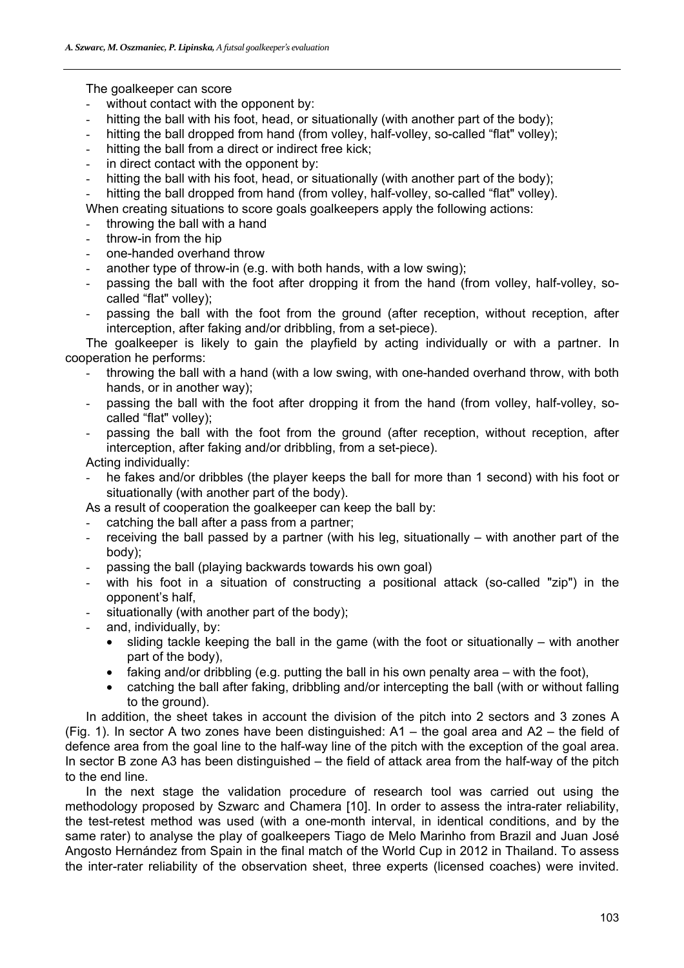The goalkeeper can score

- without contact with the opponent by:
- hitting the ball with his foot, head, or situationally (with another part of the body);
- hitting the ball dropped from hand (from volley, half-volley, so-called "flat" volley);
- hitting the ball from a direct or indirect free kick;
- in direct contact with the opponent by:
- hitting the ball with his foot, head, or situationally (with another part of the body);
- hitting the ball dropped from hand (from volley, half-volley, so-called "flat" volley).

When creating situations to score goals goalkeepers apply the following actions:

- throwing the ball with a hand
- throw-in from the hip
- one-handed overhand throw
- another type of throw-in (e.g. with both hands, with a low swing);
- passing the ball with the foot after dropping it from the hand (from volley, half-volley, socalled "flat" volley);
- passing the ball with the foot from the ground (after reception, without reception, after interception, after faking and/or dribbling, from a set-piece).

The goalkeeper is likely to gain the playfield by acting individually or with a partner. In cooperation he performs:

- throwing the ball with a hand (with a low swing, with one-handed overhand throw, with both hands, or in another way);
- passing the ball with the foot after dropping it from the hand (from volley, half-volley, socalled "flat" volley);
- passing the ball with the foot from the ground (after reception, without reception, after interception, after faking and/or dribbling, from a set-piece).

Acting individually:

he fakes and/or dribbles (the player keeps the ball for more than 1 second) with his foot or situationally (with another part of the body).

As a result of cooperation the goalkeeper can keep the ball by:

- catching the ball after a pass from a partner;
- receiving the ball passed by a partner (with his leg, situationally with another part of the body);
- passing the ball (playing backwards towards his own goal)
- with his foot in a situation of constructing a positional attack (so-called "zip") in the opponent's half,
- situationally (with another part of the body);
- and, individually, by:
	- sliding tackle keeping the ball in the game (with the foot or situationally  $-$  with another part of the body),
	- faking and/or dribbling (e.g. putting the ball in his own penalty area  $-$  with the foot),
	- y catching the ball after faking, dribbling and/or intercepting the ball (with or without falling to the ground).

In addition, the sheet takes in account the division of the pitch into 2 sectors and 3 zones A (Fig. 1). In sector A two zones have been distinguished:  $A1 -$  the goal area and  $A2 -$  the field of defence area from the goal line to the half-way line of the pitch with the exception of the goal area. In sector B zone A3 has been distinguished – the field of attack area from the half-way of the pitch to the end line.

In the next stage the validation procedure of research tool was carried out using the methodology proposed by Szwarc and Chamera [10]. In order to assess the intra-rater reliability, the test-retest method was used (with a one-month interval, in identical conditions, and by the same rater) to analyse the play of goalkeepers Tiago de Melo Marinho from Brazil and Juan José Angosto Hernández from Spain in the final match of the World Cup in 2012 in Thailand. To assess the inter-rater reliability of the observation sheet, three experts (licensed coaches) were invited.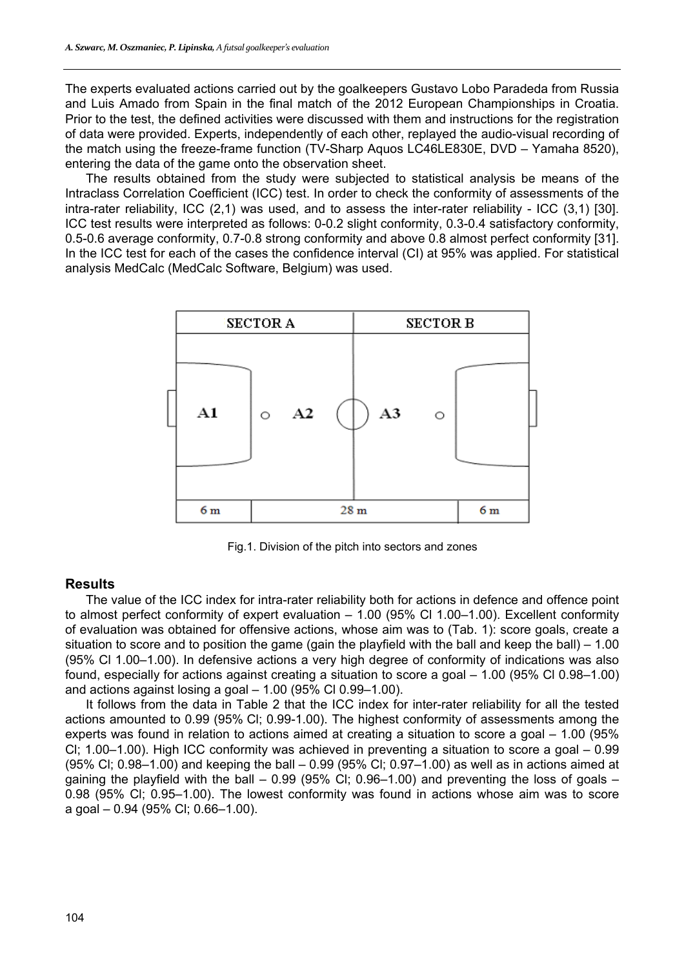The experts evaluated actions carried out by the goalkeepers Gustavo Lobo Paradeda from Russia and Luis Amado from Spain in the final match of the 2012 European Championships in Croatia. Prior to the test, the defined activities were discussed with them and instructions for the registration of data were provided. Experts, independently of each other, replayed the audio-visual recording of the match using the freeze-frame function (TV-Sharp Aquos LC46LE830E, DVD – Yamaha 8520), entering the data of the game onto the observation sheet.

The results obtained from the study were subjected to statistical analysis be means of the Intraclass Correlation Coefficient (ICC) test. In order to check the conformity of assessments of the intra-rater reliability, ICC (2,1) was used, and to assess the inter-rater reliability - ICC (3,1) [30]. ICC test results were interpreted as follows: 0-0.2 slight conformity, 0.3-0.4 satisfactory conformity, 0.5-0.6 average conformity, 0.7-0.8 strong conformity and above 0.8 almost perfect conformity [31]. In the ICC test for each of the cases the confidence interval (CI) at 95% was applied. For statistical analysis MedCalc (MedCalc Software, Belgium) was used.



Fig.1. Division of the pitch into sectors and zones

## **Results**

The value of the ICC index for intra-rater reliability both for actions in defence and offence point to almost perfect conformity of expert evaluation – 1.00 (95% Cl 1.00–1.00). Excellent conformity of evaluation was obtained for offensive actions, whose aim was to (Tab. 1): score goals, create a situation to score and to position the game (gain the playfield with the ball and keep the ball) – 1.00 (95% Cl 1.00–1.00). In defensive actions a very high degree of conformity of indications was also found, especially for actions against creating a situation to score a goal – 1.00 (95% Cl 0.98–1.00) and actions against losing a goal  $-$  1.00 (95% Cl 0.99–1.00).

It follows from the data in Table 2 that the ICC index for inter-rater reliability for all the tested actions amounted to 0.99 (95% Cl; 0.99-1.00). The highest conformity of assessments among the experts was found in relation to actions aimed at creating a situation to score a goal – 1.00 (95% Cl; 1.00–1.00). High ICC conformity was achieved in preventing a situation to score a goal – 0.99 (95% Cl; 0.98–1.00) and keeping the ball – 0.99 (95% Cl; 0.97–1.00) as well as in actions aimed at gaining the playfield with the ball  $-$  0.99 (95% CI; 0.96–1.00) and preventing the loss of goals  $-$ 0.98 (95% Cl; 0.95–1.00). The lowest conformity was found in actions whose aim was to score a goal – 0.94 (95% Cl; 0.66–1.00).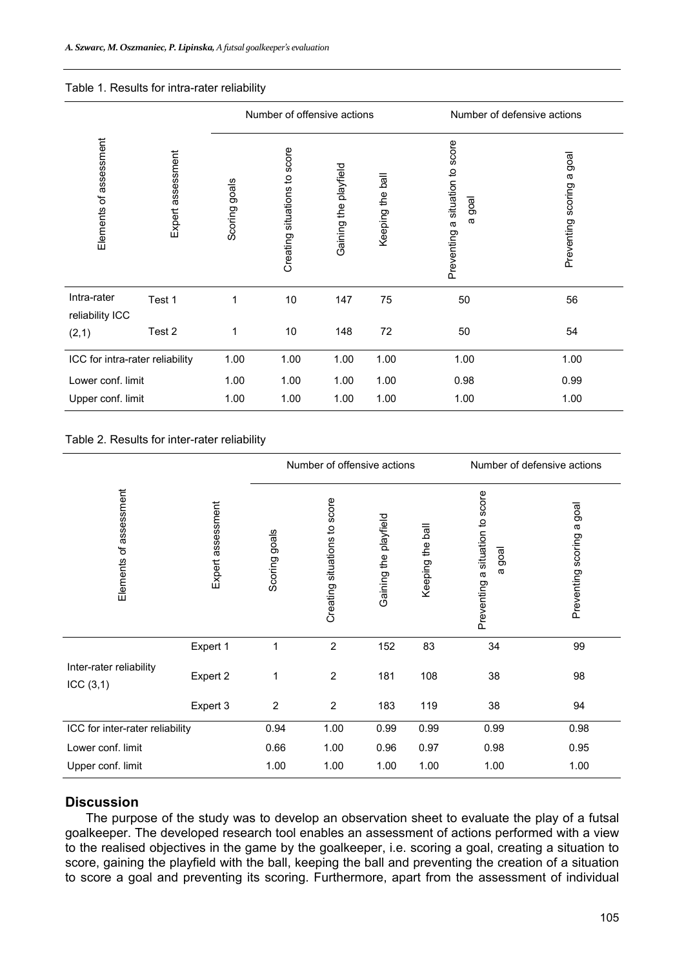#### Table 1. Results for intra-rater reliability

|                                 |                   |               | Number of offensive actions  |                       |                  | Number of defensive actions                                      |                                    |  |  |  |
|---------------------------------|-------------------|---------------|------------------------------|-----------------------|------------------|------------------------------------------------------------------|------------------------------------|--|--|--|
| Elements of assessment          | Expert assessment | Scoring goals | Creating situations to score | Gaining the playfield | Keeping the ball | situation to score<br>goal<br>$\omega$<br>$\varpi$<br>Preventing | goal<br>æ<br>scoring<br>Preventing |  |  |  |
| Intra-rater<br>reliability ICC  | Test 1            | 1             | 10                           | 147                   | 75               | 50                                                               | 56                                 |  |  |  |
| (2,1)                           | Test 2            | 1             | 10                           | 148                   | 72               | 50                                                               | 54                                 |  |  |  |
| ICC for intra-rater reliability |                   | 1.00          | 1.00                         | 1.00                  | 1.00             | 1.00                                                             | 1.00                               |  |  |  |
| Lower conf. limit               |                   | 1.00          | 1.00                         | 1.00                  | 1.00             | 0.98                                                             | 0.99                               |  |  |  |
| Upper conf. limit               |                   | 1.00          | 1.00                         | 1.00                  | 1.00             | 1.00                                                             | 1.00                               |  |  |  |

Table 2. Results for inter-rater reliability

|                                     |                   |                | Number of offensive actions<br>Number of defensive actions |                       |                  |                                                                  |                                 |  |  |  |  |
|-------------------------------------|-------------------|----------------|------------------------------------------------------------|-----------------------|------------------|------------------------------------------------------------------|---------------------------------|--|--|--|--|
| Elements of assessment              | Expert assessment | Scoring goals  | Creating situations to score                               | Gaining the playfield | Keeping the ball | Preventing a situation to score<br>goal<br>$\boldsymbol{\varpi}$ | goal<br>a<br>Preventing scoring |  |  |  |  |
|                                     | Expert 1          | 1              | $\overline{2}$                                             | 152                   | 83               | 34                                                               | 99                              |  |  |  |  |
| Inter-rater reliability<br>ICC(3,1) | Expert 2          | 1              | $\overline{2}$                                             | 181                   | 108              | 38                                                               | 98                              |  |  |  |  |
|                                     | Expert 3          | $\overline{2}$ | $\overline{2}$                                             | 183                   | 119              | 38                                                               | 94                              |  |  |  |  |
| ICC for inter-rater reliability     | 0.94              | 1.00           | 0.99                                                       | 0.99                  | 0.99             | 0.98                                                             |                                 |  |  |  |  |
| Lower conf. limit                   |                   | 0.66           | 1.00                                                       | 0.96                  | 0.97             | 0.98                                                             | 0.95                            |  |  |  |  |
| Upper conf. limit                   |                   | 1.00           | 1.00                                                       | 1.00                  | 1.00             | 1.00                                                             | 1.00                            |  |  |  |  |

## **Discussion**

The purpose of the study was to develop an observation sheet to evaluate the play of a futsal goalkeeper. The developed research tool enables an assessment of actions performed with a view to the realised objectives in the game by the goalkeeper, i.e. scoring a goal, creating a situation to score, gaining the playfield with the ball, keeping the ball and preventing the creation of a situation to score a goal and preventing its scoring. Furthermore, apart from the assessment of individual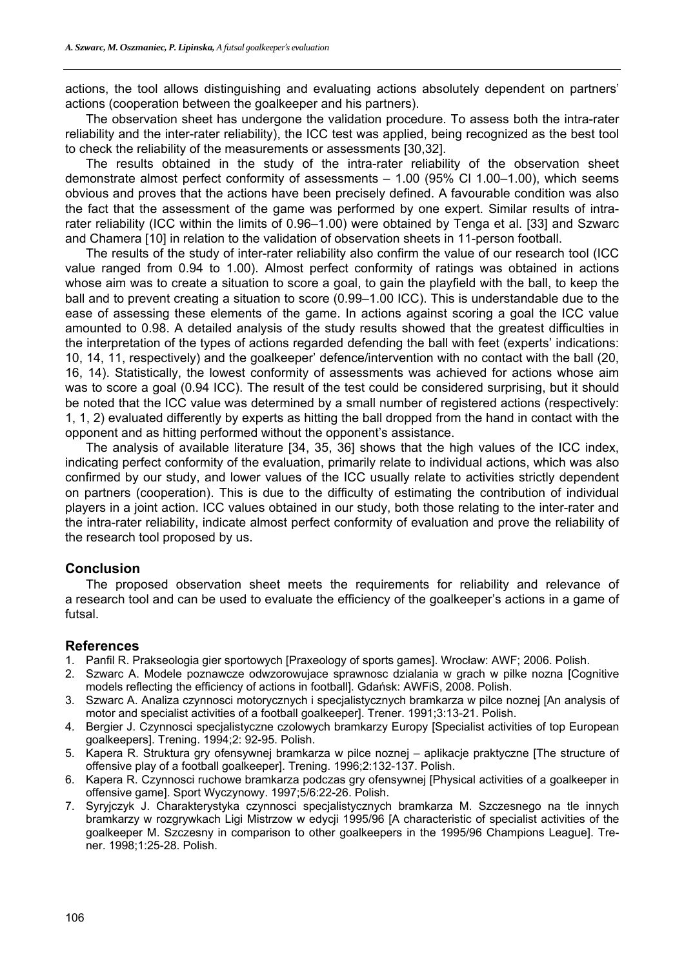actions, the tool allows distinguishing and evaluating actions absolutely dependent on partners' actions (cooperation between the goalkeeper and his partners).

The observation sheet has undergone the validation procedure. To assess both the intra-rater reliability and the inter-rater reliability), the ICC test was applied, being recognized as the best tool to check the reliability of the measurements or assessments [30,32].

The results obtained in the study of the intra-rater reliability of the observation sheet demonstrate almost perfect conformity of assessments – 1.00 (95% Cl 1.00–1.00), which seems obvious and proves that the actions have been precisely defined. A favourable condition was also the fact that the assessment of the game was performed by one expert. Similar results of intrarater reliability (ICC within the limits of 0.96–1.00) were obtained by Tenga et al. [33] and Szwarc and Chamera [10] in relation to the validation of observation sheets in 11-person football.

The results of the study of inter-rater reliability also confirm the value of our research tool (ICC value ranged from 0.94 to 1.00). Almost perfect conformity of ratings was obtained in actions whose aim was to create a situation to score a goal, to gain the playfield with the ball, to keep the ball and to prevent creating a situation to score (0.99–1.00 ICC). This is understandable due to the ease of assessing these elements of the game. In actions against scoring a goal the ICC value amounted to 0.98. A detailed analysis of the study results showed that the greatest difficulties in the interpretation of the types of actions regarded defending the ball with feet (experts' indications: 10, 14, 11, respectively) and the goalkeeper' defence/intervention with no contact with the ball (20, 16, 14). Statistically, the lowest conformity of assessments was achieved for actions whose aim was to score a goal (0.94 ICC). The result of the test could be considered surprising, but it should be noted that the ICC value was determined by a small number of registered actions (respectively: 1, 1, 2) evaluated differently by experts as hitting the ball dropped from the hand in contact with the opponent and as hitting performed without the opponent's assistance.

The analysis of available literature [34, 35, 36] shows that the high values of the ICC index, indicating perfect conformity of the evaluation, primarily relate to individual actions, which was also confirmed by our study, and lower values of the ICC usually relate to activities strictly dependent on partners (cooperation). This is due to the difficulty of estimating the contribution of individual players in a joint action. ICC values obtained in our study, both those relating to the inter-rater and the intra-rater reliability, indicate almost perfect conformity of evaluation and prove the reliability of the research tool proposed by us.

### **Conclusion**

The proposed observation sheet meets the requirements for reliability and relevance of a research tool and can be used to evaluate the efficiency of the goalkeeper's actions in a game of futsal.

### **References**

- 1. Panfil R. Prakseologia gier sportowych [Praxeology of sports games]. Wrocław: AWF; 2006. Polish.
- 2. Szwarc A. Modele poznawcze odwzorowujace sprawnosc dzialania w grach w pilke nozna [Cognitive models reflecting the efficiency of actions in football]. Gdańsk: AWFiS, 2008. Polish.
- 3. Szwarc A. Analiza czynnosci motorycznych i specjalistycznych bramkarza w pilce noznej [An analysis of motor and specialist activities of a football goalkeeper]. Trener. 1991;3:13-21. Polish.
- 4. Bergier J. Czynnosci specjalistyczne czolowych bramkarzy Europy [Specialist activities of top European goalkeepers]. Trening. 1994;2: 92-95. Polish.
- 5. Kapera R. Struktura gry ofensywnej bramkarza w pilce noznej aplikacje praktyczne [The structure of offensive play of a football goalkeeper]. Trening. 1996;2:132-137. Polish.
- 6. Kapera R. Czynnosci ruchowe bramkarza podczas gry ofensywnej [Physical activities of a goalkeeper in offensive game]. Sport Wyczynowy. 1997;5/6:22-26. Polish.
- 7. Syryjczyk J. Charakterystyka czynnosci specjalistycznych bramkarza M. Szczesnego na tle innych bramkarzy w rozgrywkach Ligi Mistrzow w edycji 1995/96 [A characteristic of specialist activities of the goalkeeper M. Szczesny in comparison to other goalkeepers in the 1995/96 Champions League]. Trener. 1998;1:25-28. Polish.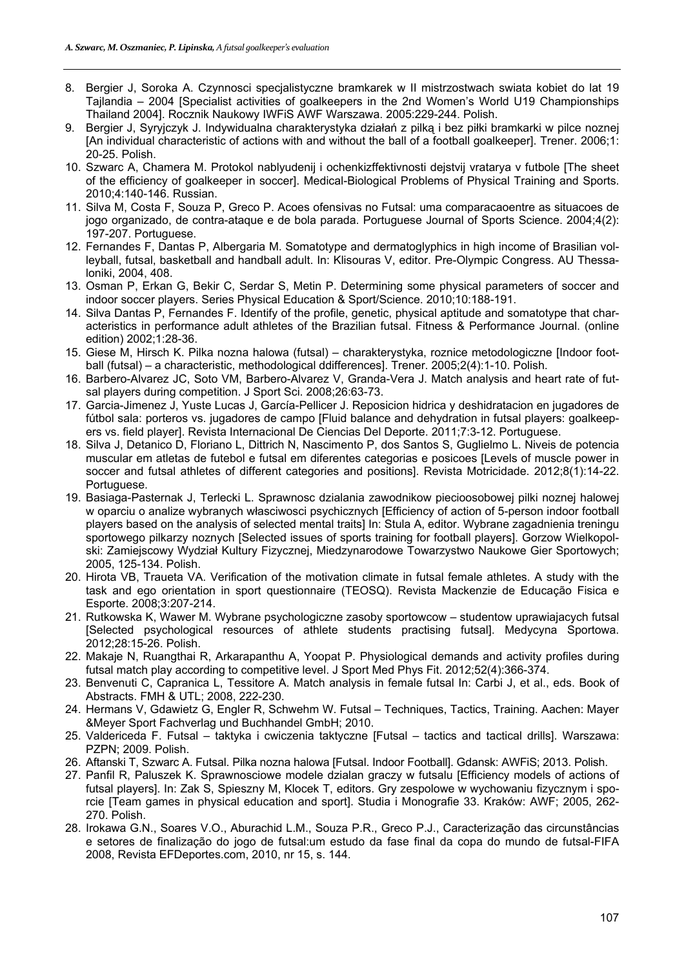- 8. Bergier J, Soroka A. Czynnosci specjalistyczne bramkarek w II mistrzostwach swiata kobiet do lat 19 Tajlandia – 2004 [Specialist activities of goalkeepers in the 2nd Women's World U19 Championships Thailand 2004]. Rocznik Naukowy IWFiS AWF Warszawa. 2005:229-244. Polish.
- 9. Bergier J, Syryjczyk J. Indywidualna charakterystyka działań z pilką i bez piłki bramkarki w pilce noznej [An individual characteristic of actions with and without the ball of a football goalkeeper]. Trener. 2006;1: 20-25. Polish.
- 10. Szwarc A, Chamera M. Protokol nablyudenij i ochenkizffektivnosti dejstvij vratarya v futbole [The sheet of the efficiency of goalkeeper in soccer]. Medical-Biological Problems of Physical Training and Sports. 2010;4:140-146. Russian.
- 11. Silva M, Costa F, Souza P, Greco P. Acoes ofensivas no Futsal: uma comparacaoentre as situacoes de jogo organizado, de contra-ataque e de bola parada. Portuguese Journal of Sports Science. 2004;4(2): 197-207. Portuguese.
- 12. Fernandes F, Dantas P, Albergaria M. Somatotype and dermatoglyphics in high income of Brasilian volleyball, futsal, basketball and handball adult. In: Klisouras V, editor. Pre-Olympic Congress. AU Thessaloniki, 2004, 408.
- 13. Osman P, Erkan G, Bekir C, Serdar S, Metin P. Determining some physical parameters of soccer and indoor soccer players. Series Physical Education & Sport/Science. 2010;10:188-191.
- 14. Silva Dantas P, Fernandes F. Identify of the profile, genetic, physical aptitude and somatotype that characteristics in performance adult athletes of the Brazilian futsal. Fitness & Performance Journal. (online edition) 2002;1:28-36.
- 15. Giese M, Hirsch K. Pilka nozna halowa (futsal) charakterystyka, roznice metodologiczne [Indoor football (futsal) – a characteristic, methodological ddifferences]. Trener. 2005;2(4):1-10. Polish.
- 16. Barbero-Alvarez JC, Soto VM, Barbero-Alvarez V, Granda-Vera J. Match analysis and heart rate of futsal players during competition. J Sport Sci. 2008;26:63-73.
- 17. Garcia-Jimenez J, Yuste Lucas J, García-Pellicer J. Reposicion hidrica y deshidratacion en jugadores de fútbol sala: porteros vs. jugadores de campo [Fluid balance and dehydration in futsal players: goalkeepers vs. field player]. Revista Internacional De Ciencias Del Deporte. 2011;7:3-12. Portuguese.
- 18. Silva J, Detanico D, Floriano L, Dittrich N, Nascimento P, dos Santos S, Guglielmo L. Niveis de potencia muscular em atletas de futebol e futsal em diferentes categorias e posicoes [Levels of muscle power in soccer and futsal athletes of different categories and positions]. Revista Motricidade. 2012;8(1):14-22. Portuguese.
- 19. Basiaga-Pasternak J, Terlecki L. Sprawnosc dzialania zawodnikow piecioosobowej pilki noznej halowej w oparciu o analize wybranych własciwosci psychicznych [Efficiency of action of 5-person indoor football players based on the analysis of selected mental traits] In: Stula A, editor. Wybrane zagadnienia treningu sportowego pilkarzy noznych [Selected issues of sports training for football players]. Gorzow Wielkopolski: Zamiejscowy Wydział Kultury Fizycznej, Miedzynarodowe Towarzystwo Naukowe Gier Sportowych; 2005, 125-134. Polish.
- 20. Hirota VB, Traueta VA. Verification of the motivation climate in futsal female athletes. A study with the task and ego orientation in sport questionnaire (TEOSQ). Revista Mackenzie de Educação Fisica e Esporte. 2008;3:207-214.
- 21. Rutkowska K, Wawer M. Wybrane psychologiczne zasoby sportowcow studentow uprawiajacych futsal [Selected psychological resources of athlete students practising futsal]. Medycyna Sportowa. 2012;28:15-26. Polish.
- 22. Makaje N, Ruangthai R, Arkarapanthu A, Yoopat P. Physiological demands and activity profiles during futsal match play according to competitive level. J Sport Med Phys Fit. 2012;52(4):366-374.
- 23. Benvenuti C, Capranica L, Tessitore A. Match analysis in female futsal In: Carbi J, et al., eds. Book of Abstracts. FMH & UTL; 2008, 222-230.
- 24. Hermans V, Gdawietz G, Engler R, Schwehm W. Futsal Techniques, Tactics, Training. Aachen: Mayer &Meyer Sport Fachverlag und Buchhandel GmbH; 2010.
- 25. Valdericeda F. Futsal taktyka i cwiczenia taktyczne [Futsal tactics and tactical drills]. Warszawa: PZPN; 2009. Polish.
- 26. Aftanski T, Szwarc A. Futsal. Pilka nozna halowa [Futsal. Indoor Football]. Gdansk: AWFiS; 2013. Polish.
- 27. Panfil R, Paluszek K. Sprawnosciowe modele dzialan graczy w futsalu [Efficiency models of actions of futsal players]. In: Zak S, Spieszny M, Klocek T, editors. Gry zespolowe w wychowaniu fizycznym i sporcie [Team games in physical education and sport]. Studia i Monografie 33. Kraków: AWF; 2005, 262- 270. Polish.
- 28. Irokawa G.N., Soares V.O., Aburachid L.M., Souza P.R., Greco P.J., Caracterização das circunstâncias e setores de finalização do jogo de futsal:um estudo da fase final da copa do mundo de futsal-FIFA 2008, Revista EFDeportes.com, 2010, nr 15, s. 144.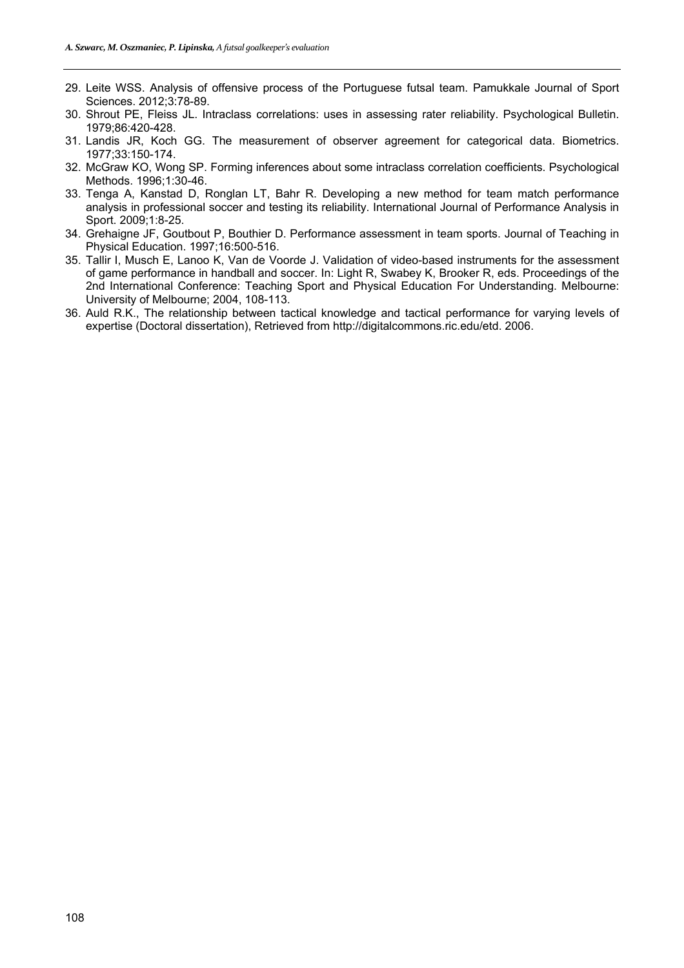- 29. Leite WSS. Analysis of offensive process of the Portuguese futsal team. Pamukkale Journal of Sport Sciences. 2012;3:78-89.
- 30. Shrout PE, Fleiss JL. Intraclass correlations: uses in assessing rater reliability. Psychological Bulletin. 1979;86:420-428.
- 31. Landis JR, Koch GG. The measurement of observer agreement for categorical data. Biometrics. 1977;33:150-174.
- 32. McGraw KO, Wong SP. Forming inferences about some intraclass correlation coefficients. Psychological Methods. 1996;1:30-46.
- 33. Tenga A, Kanstad D, Ronglan LT, Bahr R. Developing a new method for team match performance analysis in professional soccer and testing its reliability. International Journal of Performance Analysis in Sport. 2009;1:8-25.
- 34. Grehaigne JF, Goutbout P, Bouthier D. Performance assessment in team sports. Journal of Teaching in Physical Education. 1997;16:500-516.
- 35. Tallir I, Musch E, Lanoo K, Van de Voorde J. Validation of video-based instruments for the assessment of game performance in handball and soccer. In: Light R, Swabey K, Brooker R, eds. Proceedings of the 2nd International Conference: Teaching Sport and Physical Education For Understanding. Melbourne: University of Melbourne; 2004, 108-113.
- 36. Auld R.K., The relationship between tactical knowledge and tactical performance for varying levels of expertise (Doctoral dissertation), Retrieved from http://digitalcommons.ric.edu/etd. 2006.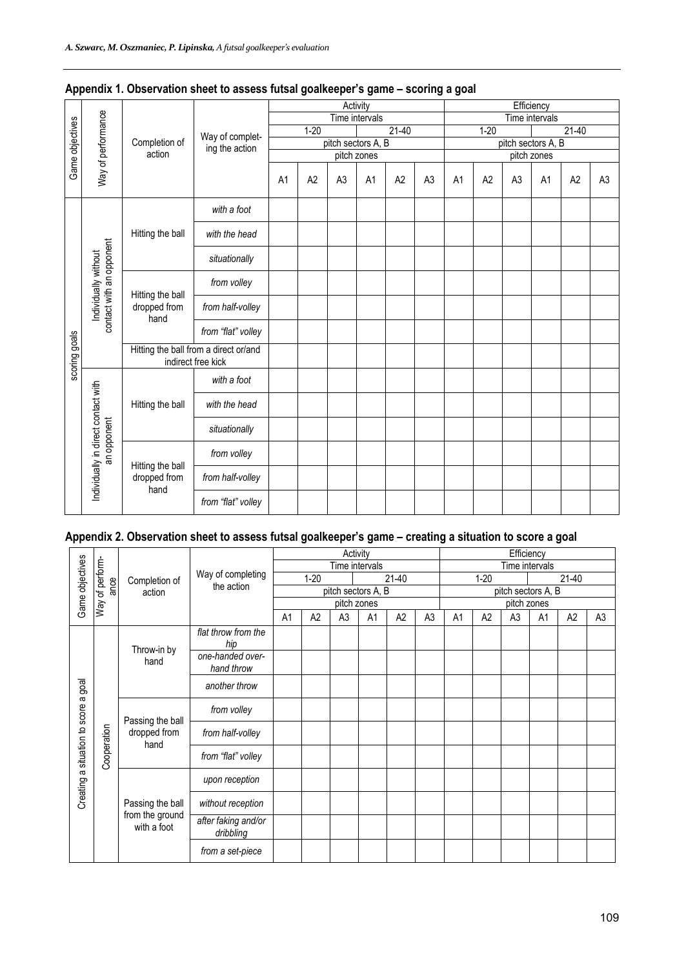|                 |                                     |                                                             |                    |                |          |                | Activity           |                    |                |                    |          | Efficiency     |                |           |                |  |
|-----------------|-------------------------------------|-------------------------------------------------------------|--------------------|----------------|----------|----------------|--------------------|--------------------|----------------|--------------------|----------|----------------|----------------|-----------|----------------|--|
|                 |                                     |                                                             |                    |                |          |                | Time intervals     |                    |                |                    |          |                | Time intervals |           |                |  |
|                 |                                     |                                                             | Way of complet-    |                | $1 - 20$ |                |                    | $\overline{21-40}$ |                |                    | $1 - 20$ |                |                | $21 - 40$ |                |  |
|                 |                                     | Completion of                                               | ing the action     |                |          |                | pitch sectors A, B |                    |                | pitch sectors A, B |          |                |                |           |                |  |
|                 |                                     | action                                                      |                    |                |          |                | pitch zones        |                    |                |                    |          |                | pitch zones    |           |                |  |
| Game objectives | Way of performance                  |                                                             |                    | A <sub>1</sub> | A2       | A <sub>3</sub> | A1                 | A <sub>2</sub>     | A <sub>3</sub> | A <sub>1</sub>     | A2       | A <sub>3</sub> | A <sub>1</sub> | A2        | A <sub>3</sub> |  |
|                 |                                     | Hitting the ball                                            | with a foot        |                |          |                |                    |                    |                |                    |          |                |                |           |                |  |
|                 |                                     |                                                             | with the head      |                |          |                |                    |                    |                |                    |          |                |                |           |                |  |
|                 | contact with an opponent            |                                                             | situationally      |                |          |                |                    |                    |                |                    |          |                |                |           |                |  |
|                 |                                     | Hitting the ball<br>dropped from<br>hand                    | from volley        |                |          |                |                    |                    |                |                    |          |                |                |           |                |  |
|                 | Individually without                |                                                             | from half-volley   |                |          |                |                    |                    |                |                    |          |                |                |           |                |  |
|                 |                                     |                                                             | from "flat" volley |                |          |                |                    |                    |                |                    |          |                |                |           |                |  |
| scoring goals   |                                     | Hitting the ball from a direct or/and<br>indirect free kick |                    |                |          |                |                    |                    |                |                    |          |                |                |           |                |  |
|                 |                                     |                                                             | with a foot        |                |          |                |                    |                    |                |                    |          |                |                |           |                |  |
|                 |                                     | Hitting the ball                                            | with the head      |                |          |                |                    |                    |                |                    |          |                |                |           |                |  |
|                 | an opponent                         |                                                             | situationally      |                |          |                |                    |                    |                |                    |          |                |                |           |                |  |
|                 |                                     | Hitting the ball                                            | from volley        |                |          |                |                    |                    |                |                    |          |                |                |           |                |  |
|                 | Individually in direct contact with | dropped from<br>hand                                        | from half-volley   |                |          |                |                    |                    |                |                    |          |                |                |           |                |  |
|                 |                                     |                                                             | from "flat" volley |                |          |                |                    |                    |                |                    |          |                |                |           |                |  |

|  |  | Appendix 1. Observation sheet to assess futsal goalkeeper's game - scoring a goal |
|--|--|-----------------------------------------------------------------------------------|
|  |  |                                                                                   |

# **Appendix 2. Observation sheet to assess futsal goalkeeper's game – creating a situation to score a goal**

|                               |                 |                                          |                                  |                |                    |                | Activity       |                |                |                |          | Efficiency     |                    |                |                |  |  |  |
|-------------------------------|-----------------|------------------------------------------|----------------------------------|----------------|--------------------|----------------|----------------|----------------|----------------|----------------|----------|----------------|--------------------|----------------|----------------|--|--|--|
|                               |                 |                                          |                                  |                |                    |                | Time intervals |                |                |                |          | Time intervals |                    |                |                |  |  |  |
|                               | ance            | Completion of                            | Way of completing<br>the action  |                | $1 - 20$           |                |                | $21-40$        |                |                | $1 - 20$ |                |                    | $21 - 40$      |                |  |  |  |
| Game objectives               | Way of perform- | action                                   |                                  |                | pitch sectors A, B |                |                |                |                |                |          |                | pitch sectors A, B |                |                |  |  |  |
|                               |                 |                                          |                                  | pitch zones    |                    |                |                |                | pitch zones    |                |          |                |                    |                |                |  |  |  |
|                               |                 |                                          |                                  | A <sub>1</sub> | A2                 | A <sub>3</sub> | A <sub>1</sub> | A <sub>2</sub> | A <sub>3</sub> | A <sub>1</sub> | A2       | A <sub>3</sub> | A1                 | A <sub>2</sub> | A <sub>3</sub> |  |  |  |
|                               |                 |                                          | flat throw from the              |                |                    |                |                |                |                |                |          |                |                    |                |                |  |  |  |
|                               |                 | Throw-in by<br>hand                      | hip                              |                |                    |                |                |                |                |                |          |                |                    |                |                |  |  |  |
|                               |                 |                                          | one-handed over-                 |                |                    |                |                |                |                |                |          |                |                    |                |                |  |  |  |
|                               |                 |                                          | hand throw                       |                |                    |                |                |                |                |                |          |                |                    |                |                |  |  |  |
| goal                          |                 |                                          | another throw                    |                |                    |                |                |                |                |                |          |                |                    |                |                |  |  |  |
| $\varpi$                      |                 | Passing the ball<br>dropped from<br>hand | from volley                      |                |                    |                |                |                |                |                |          |                |                    |                |                |  |  |  |
|                               |                 |                                          | from half-volley                 |                |                    |                |                |                |                |                |          |                |                    |                |                |  |  |  |
| Creating a situation to score | Cooperation     |                                          | from "flat" volley               |                |                    |                |                |                |                |                |          |                |                    |                |                |  |  |  |
|                               |                 |                                          | upon reception                   |                |                    |                |                |                |                |                |          |                |                    |                |                |  |  |  |
|                               |                 | Passing the ball                         | without reception                |                |                    |                |                |                |                |                |          |                |                    |                |                |  |  |  |
|                               |                 | from the ground<br>with a foot           | after faking and/or<br>dribbling |                |                    |                |                |                |                |                |          |                |                    |                |                |  |  |  |
|                               |                 |                                          | from a set-piece                 |                |                    |                |                |                |                |                |          |                |                    |                |                |  |  |  |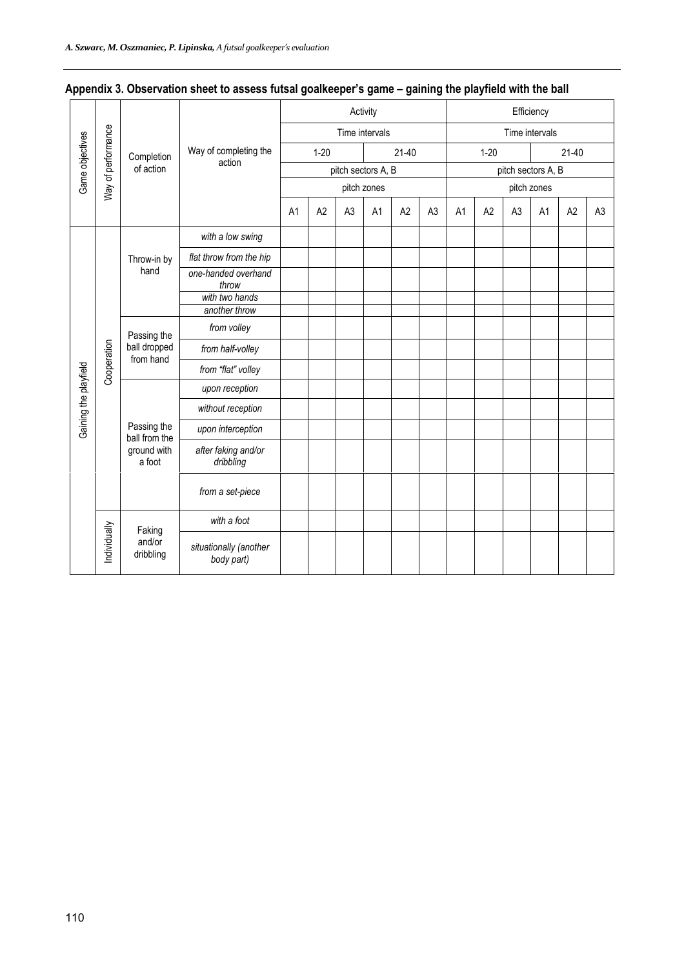| . .                   |                    |                                          |                                      |    |                     |                |                |                |                |                |                     |                |                    |                |                |  |  |  |  |  |
|-----------------------|--------------------|------------------------------------------|--------------------------------------|----|---------------------|----------------|----------------|----------------|----------------|----------------|---------------------|----------------|--------------------|----------------|----------------|--|--|--|--|--|
|                       |                    |                                          |                                      |    |                     |                | Activity       |                |                | Efficiency     |                     |                |                    |                |                |  |  |  |  |  |
|                       |                    |                                          |                                      |    |                     |                | Time intervals |                |                | Time intervals |                     |                |                    |                |                |  |  |  |  |  |
| Game objectives       | Way of performance | Completion                               | Way of completing the                |    | $1 - 20$<br>$21-40$ |                |                |                |                |                | $1 - 20$<br>$21-40$ |                |                    |                |                |  |  |  |  |  |
|                       |                    | of action                                | action                               |    | pitch sectors A, B  |                |                |                |                |                |                     |                | pitch sectors A, B |                |                |  |  |  |  |  |
|                       |                    |                                          |                                      |    |                     |                | pitch zones    |                |                |                |                     |                | pitch zones        |                |                |  |  |  |  |  |
|                       |                    |                                          |                                      | A1 | A <sub>2</sub>      | A <sub>3</sub> | A <sub>1</sub> | A <sub>2</sub> | A <sub>3</sub> | A <sub>1</sub> | A <sub>2</sub>      | A <sub>3</sub> | A1                 | A <sub>2</sub> | A <sub>3</sub> |  |  |  |  |  |
|                       |                    |                                          | with a low swing                     |    |                     |                |                |                |                |                |                     |                |                    |                |                |  |  |  |  |  |
|                       |                    | Throw-in by<br>hand                      | flat throw from the hip              |    |                     |                |                |                |                |                |                     |                |                    |                |                |  |  |  |  |  |
|                       |                    |                                          | one-handed overhand<br>throw         |    |                     |                |                |                |                |                |                     |                |                    |                |                |  |  |  |  |  |
|                       |                    |                                          | with two hands                       |    |                     |                |                |                |                |                |                     |                |                    |                |                |  |  |  |  |  |
|                       |                    |                                          | another throw                        |    |                     |                |                |                |                |                |                     |                |                    |                |                |  |  |  |  |  |
|                       |                    | Passing the<br>ball dropped<br>from hand | from volley                          |    |                     |                |                |                |                |                |                     |                |                    |                |                |  |  |  |  |  |
|                       | Cooperation        |                                          | from half-volley                     |    |                     |                |                |                |                |                |                     |                |                    |                |                |  |  |  |  |  |
|                       |                    |                                          | from "flat" volley                   |    |                     |                |                |                |                |                |                     |                |                    |                |                |  |  |  |  |  |
|                       |                    |                                          | upon reception                       |    |                     |                |                |                |                |                |                     |                |                    |                |                |  |  |  |  |  |
| Gaining the playfield |                    |                                          | without reception                    |    |                     |                |                |                |                |                |                     |                |                    |                |                |  |  |  |  |  |
|                       |                    | Passing the<br>ball from the             | upon interception                    |    |                     |                |                |                |                |                |                     |                |                    |                |                |  |  |  |  |  |
|                       |                    | ground with<br>a foot                    | after faking and/or<br>dribbling     |    |                     |                |                |                |                |                |                     |                |                    |                |                |  |  |  |  |  |
|                       |                    |                                          | from a set-piece                     |    |                     |                |                |                |                |                |                     |                |                    |                |                |  |  |  |  |  |
|                       |                    |                                          | with a foot                          |    |                     |                |                |                |                |                |                     |                |                    |                |                |  |  |  |  |  |
|                       | Individually       | Faking<br>and/or<br>dribbling            | situationally (another<br>body part) |    |                     |                |                |                |                |                |                     |                |                    |                |                |  |  |  |  |  |

## **Appendix 3. Observation sheet to assess futsal goalkeeper's game – gaining the playfield with the ball**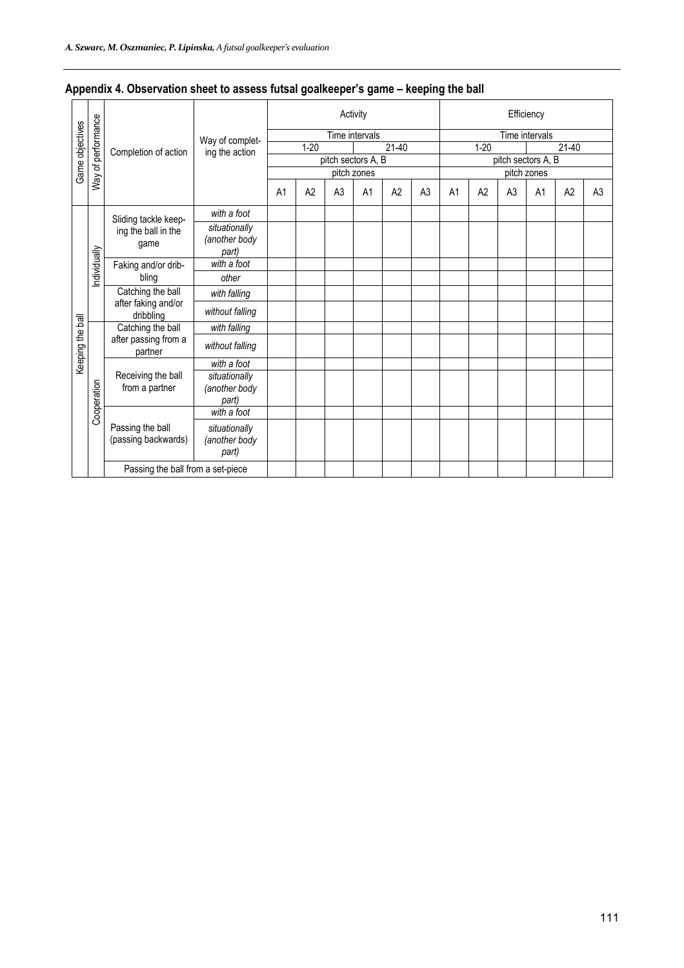|                  | Way of performance |                                                    |                                         |                |                |                    | Activity       |                |                |                     |    |                    | Efficiency     |                |                |
|------------------|--------------------|----------------------------------------------------|-----------------------------------------|----------------|----------------|--------------------|----------------|----------------|----------------|---------------------|----|--------------------|----------------|----------------|----------------|
|                  |                    |                                                    |                                         |                |                |                    | Time intervals |                |                |                     |    |                    | Time intervals |                |                |
|                  |                    |                                                    | Way of complet-                         |                | $1 - 20$       |                    |                | $21 - 40$      |                | $21-40$<br>$1 - 20$ |    |                    |                |                |                |
|                  |                    | Completion of action                               | ing the action                          |                |                | pitch sectors A, B |                |                |                |                     |    | pitch sectors A, B |                |                |                |
| Game objectives  |                    |                                                    |                                         |                |                |                    | pitch zones    |                |                |                     |    |                    | pitch zones    |                |                |
|                  |                    |                                                    |                                         | A <sub>1</sub> | A <sub>2</sub> | A <sub>3</sub>     | A <sub>1</sub> | A <sub>2</sub> | A <sub>3</sub> | A <sub>1</sub>      | A2 | A <sub>3</sub>     | A <sub>1</sub> | A <sub>2</sub> | A <sub>3</sub> |
|                  |                    | Sliding tackle keep-                               | with a foot                             |                |                |                    |                |                |                |                     |    |                    |                |                |                |
|                  |                    | ing the ball in the<br>game<br>Faking and/or drib- | situationally<br>(another body<br>part) |                |                |                    |                |                |                |                     |    |                    |                |                |                |
|                  |                    |                                                    | with a foot                             |                |                |                    |                |                |                |                     |    |                    |                |                |                |
|                  | Individually       | bling                                              | other                                   |                |                |                    |                |                |                |                     |    |                    |                |                |                |
|                  |                    | Catching the ball                                  | with falling                            |                |                |                    |                |                |                |                     |    |                    |                |                |                |
|                  |                    | after faking and/or<br>dribbling                   | without falling                         |                |                |                    |                |                |                |                     |    |                    |                |                |                |
|                  |                    | Catching the ball                                  | with falling                            |                |                |                    |                |                |                |                     |    |                    |                |                |                |
| Keeping the ball |                    | after passing from a<br>partner                    | without falling                         |                |                |                    |                |                |                |                     |    |                    |                |                |                |
|                  |                    |                                                    | with a foot                             |                |                |                    |                |                |                |                     |    |                    |                |                |                |
|                  | Cooperation        | Receiving the ball<br>from a partner               | situationally<br>(another body<br>part) |                |                |                    |                |                |                |                     |    |                    |                |                |                |
|                  |                    |                                                    | with a foot                             |                |                |                    |                |                |                |                     |    |                    |                |                |                |
|                  |                    | Passing the ball<br>(passing backwards)            | situationally<br>(another body<br>part) |                |                |                    |                |                |                |                     |    |                    |                |                |                |
|                  |                    | Passing the ball from a set-piece                  |                                         |                |                |                    |                |                |                |                     |    |                    |                |                |                |

# **Appendix 4. Observation sheet to assess futsal goalkeeper's game – keeping the ball**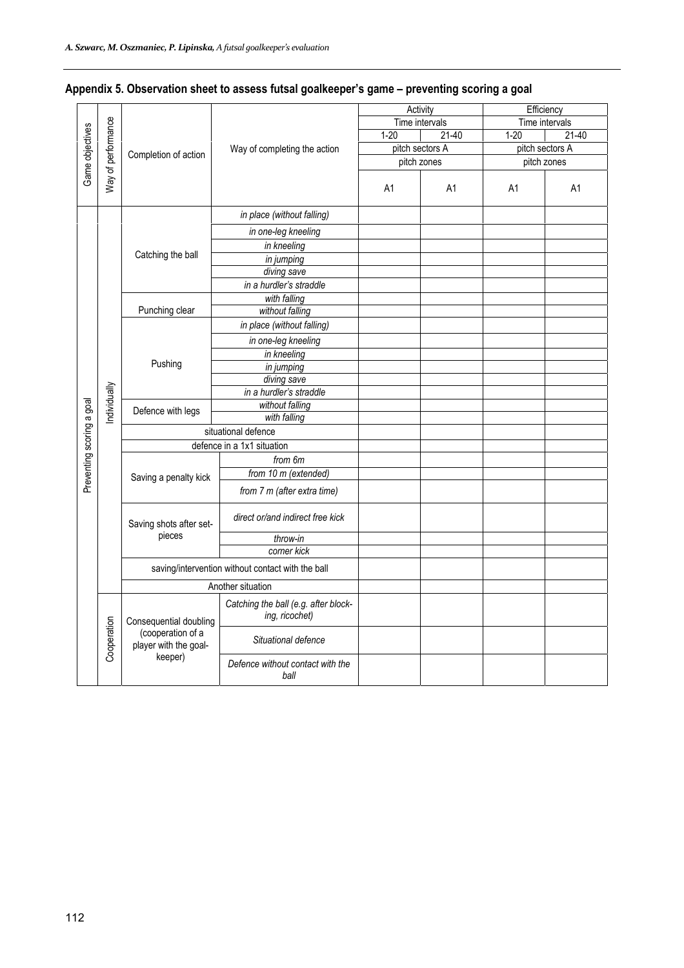|                           |                    |                                            |                                                        | Activity | Efficiency      |                 |           |  |  |
|---------------------------|--------------------|--------------------------------------------|--------------------------------------------------------|----------|-----------------|-----------------|-----------|--|--|
|                           |                    |                                            |                                                        |          | Time intervals  | Time intervals  |           |  |  |
|                           |                    |                                            |                                                        | $1 - 20$ | $21-40$         | $1 - 20$        | $21 - 40$ |  |  |
|                           |                    | Completion of action                       | Way of completing the action                           |          | pitch sectors A | pitch sectors A |           |  |  |
|                           |                    |                                            |                                                        |          | pitch zones     | pitch zones     |           |  |  |
| Game objectives           | Way of performance |                                            |                                                        | A1       | A <sub>1</sub>  | A1              | A1        |  |  |
|                           |                    |                                            |                                                        |          |                 |                 |           |  |  |
|                           |                    |                                            | in place (without falling)                             |          |                 |                 |           |  |  |
|                           |                    |                                            | in one-leg kneeling                                    |          |                 |                 |           |  |  |
|                           |                    |                                            | in kneeling                                            |          |                 |                 |           |  |  |
|                           |                    | Catching the ball                          | in jumping                                             |          |                 |                 |           |  |  |
|                           |                    |                                            | diving save                                            |          |                 |                 |           |  |  |
|                           |                    |                                            | in a hurdler's straddle                                |          |                 |                 |           |  |  |
|                           |                    |                                            | with falling                                           |          |                 |                 |           |  |  |
|                           |                    | Punching clear                             | without falling                                        |          |                 |                 |           |  |  |
|                           |                    |                                            | in place (without falling)                             |          |                 |                 |           |  |  |
|                           |                    |                                            | in one-leg kneeling                                    |          |                 |                 |           |  |  |
|                           |                    |                                            | in kneeling                                            |          |                 |                 |           |  |  |
|                           |                    | Pushing                                    | in jumping                                             |          |                 |                 |           |  |  |
|                           |                    |                                            | diving save                                            |          |                 |                 |           |  |  |
|                           | ndividually        |                                            | in a hurdler's straddle                                |          |                 |                 |           |  |  |
|                           |                    | Defence with legs                          | without falling                                        |          |                 |                 |           |  |  |
|                           |                    |                                            | with falling                                           |          |                 |                 |           |  |  |
|                           |                    |                                            | situational defence                                    |          |                 |                 |           |  |  |
|                           |                    |                                            | defence in a 1x1 situation                             |          |                 |                 |           |  |  |
|                           |                    |                                            | from 6m                                                |          |                 |                 |           |  |  |
| Preventing scoring a goal |                    | Saving a penalty kick                      | from $10 \text{ m}$ (extended)                         |          |                 |                 |           |  |  |
|                           |                    |                                            | from 7 m (after extra time)                            |          |                 |                 |           |  |  |
|                           |                    | Saving shots after set-                    | direct or/and indirect free kick                       |          |                 |                 |           |  |  |
|                           |                    | pieces                                     | throw-in                                               |          |                 |                 |           |  |  |
|                           |                    |                                            | corner kick                                            |          |                 |                 |           |  |  |
|                           |                    |                                            | saving/intervention without contact with the ball      |          |                 |                 |           |  |  |
|                           |                    |                                            | Another situation                                      |          |                 |                 |           |  |  |
|                           |                    | Consequential doubling                     | Catching the ball (e.g. after block-<br>ing, ricochet) |          |                 |                 |           |  |  |
|                           | Cooperation        | (cooperation of a<br>player with the goal- | Situational defence                                    |          |                 |                 |           |  |  |
|                           |                    | keeper)                                    | Defence without contact with the<br>ball               |          |                 |                 |           |  |  |

# **Appendix 5. Observation sheet to assess futsal goalkeeper's game – preventing scoring a goal**